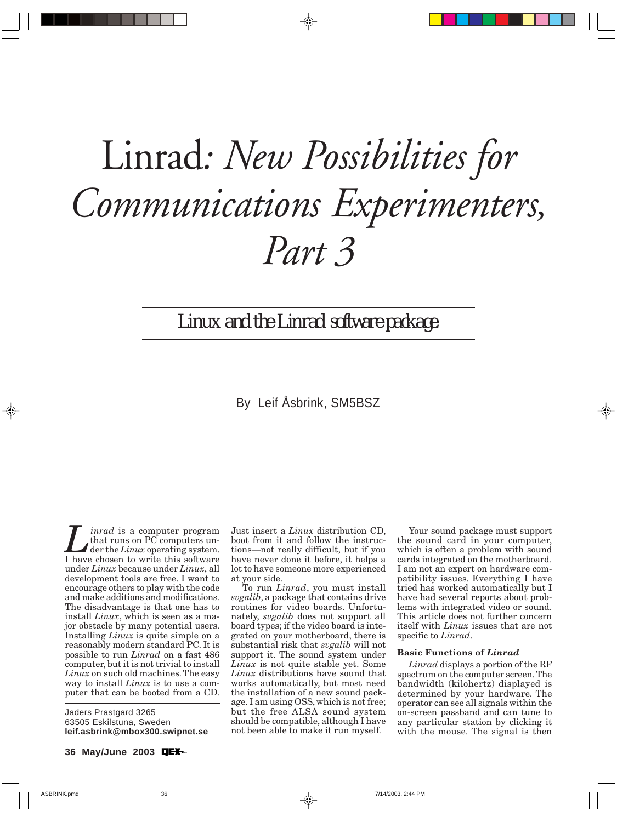# Linrad*: New Possibilities for Communications Experimenters, Part 3*

Linux *and the* Linrad *software package.*

# By Leif Åsbrink, SM5BSZ

*Linrad* is a computer program<br>that runs on PC computers under the *Linux* operating system.<br>I have chosen to write this software that runs on PC computers under the *Linux* operating system. I have chosen to write this software under *Linux* because under *Linux*, all development tools are free. I want to encourage others to play with the code and make additions and modifications. The disadvantage is that one has to install *Linux*, which is seen as a major obstacle by many potential users. Installing *Linux* is quite simple on a reasonably modern standard PC. It is possible to run *Linrad* on a fast 486 computer, but it is not trivial to install *Linux* on such old machines. The easy way to install *Linux* is to use a computer that can be booted from a CD.

Jaders Prastgard 3265 63505 Eskilstuna, Sweden **leif.asbrink@mbox300.swipnet.se** Just insert a *Linux* distribution CD, boot from it and follow the instructions—not really difficult, but if you have never done it before, it helps a lot to have someone more experienced at your side.

To run *Linrad*, you must install *svgalib*, a package that contains drive routines for video boards. Unfortunately, *svgalib* does not support all board types; if the video board is integrated on your motherboard, there is substantial risk that *svgalib* will not support it. The sound system under *Linux* is not quite stable yet. Some *Linux* distributions have sound that works automatically, but most need the installation of a new sound package. I am using OSS, which is not free; but the free ALSA sound system should be compatible, although I have not been able to make it run myself.

Your sound package must support the sound card in your computer, which is often a problem with sound cards integrated on the motherboard. I am not an expert on hardware compatibility issues. Everything I have tried has worked automatically but I have had several reports about problems with integrated video or sound. This article does not further concern itself with *Linux* issues that are not specific to *Linrad*.

# **Basic Functions of** *Linrad*

*Linrad* displays a portion of the RF spectrum on the computer screen. The bandwidth (kilohertz) displayed is determined by your hardware. The operator can see all signals within the on-screen passband and can tune to any particular station by clicking it with the mouse. The signal is then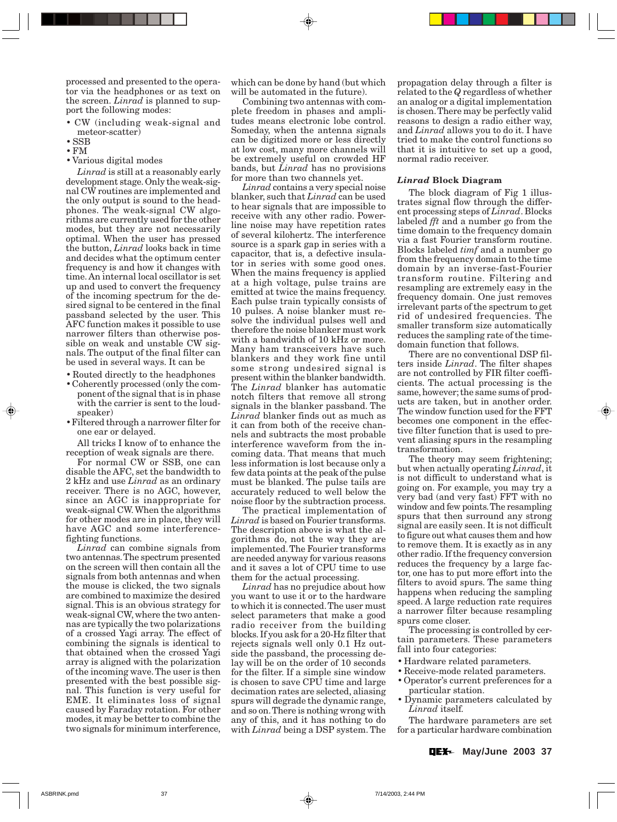processed and presented to the operator via the headphones or as text on the screen. *Linrad* is planned to support the following modes:

- CW (including weak-signal and meteor-scatter)
- SSB
- FM
- Various digital modes

*Linrad* is still at a reasonably early development stage. Only the weak-signal CW routines are implemented and the only output is sound to the headphones. The weak-signal CW algorithms are currently used for the other modes, but they are not necessarily optimal. When the user has pressed the button, *Linrad* looks back in time and decides what the optimum center frequency is and how it changes with time. An internal local oscillator is set up and used to convert the frequency of the incoming spectrum for the desired signal to be centered in the final passband selected by the user. This AFC function makes it possible to use narrower filters than otherwise possible on weak and unstable CW signals. The output of the final filter can be used in several ways. It can be

- Routed directly to the headphones
- Coherently processed (only the component of the signal that is in phase with the carrier is sent to the loudspeaker)
- Filtered through a narrower filter for one ear or delayed.

All tricks I know of to enhance the reception of weak signals are there.

For normal CW or SSB, one can disable the AFC, set the bandwidth to 2 kHz and use *Linrad* as an ordinary receiver. There is no AGC, however, since an AGC is inappropriate for weak-signal CW. When the algorithms for other modes are in place, they will have AGC and some interferencefighting functions.

*Linrad* can combine signals from two antennas. The spectrum presented on the screen will then contain all the signals from both antennas and when the mouse is clicked, the two signals are combined to maximize the desired signal. This is an obvious strategy for weak-signal CW, where the two antennas are typically the two polarizations of a crossed Yagi array. The effect of combining the signals is identical to that obtained when the crossed Yagi array is aligned with the polarization of the incoming wave. The user is then presented with the best possible signal. This function is very useful for EME. It eliminates loss of signal caused by Faraday rotation. For other modes, it may be better to combine the two signals for minimum interference,

which can be done by hand (but which will be automated in the future).

Combining two antennas with complete freedom in phases and amplitudes means electronic lobe control. Someday, when the antenna signals can be digitized more or less directly at low cost, many more channels will be extremely useful on crowded HF bands, but *Linrad* has no provisions for more than two channels yet.

*Linrad* contains a very special noise blanker, such that *Linrad* can be used to hear signals that are impossible to receive with any other radio. Powerline noise may have repetition rates of several kilohertz. The interference source is a spark gap in series with a capacitor, that is, a defective insulator in series with some good ones. When the mains frequency is applied at a high voltage, pulse trains are emitted at twice the mains frequency. Each pulse train typically consists of 10 pulses. A noise blanker must resolve the individual pulses well and therefore the noise blanker must work with a bandwidth of 10 kHz or more. Many ham transceivers have such blankers and they work fine until some strong undesired signal is present within the blanker bandwidth. The *Linrad* blanker has automatic notch filters that remove all strong signals in the blanker passband. The *Linrad* blanker finds out as much as it can from both of the receive channels and subtracts the most probable interference waveform from the incoming data. That means that much less information is lost because only a few data points at the peak of the pulse must be blanked. The pulse tails are accurately reduced to well below the noise floor by the subtraction process.

The practical implementation of *Linrad* is based on Fourier transforms. The description above is what the algorithms do, not the way they are implemented. The Fourier transforms are needed anyway for various reasons and it saves a lot of CPU time to use them for the actual processing.

*Linrad* has no prejudice about how you want to use it or to the hardware to which it is connected. The user must select parameters that make a good radio receiver from the building blocks. If you ask for a 20-Hz filter that rejects signals well only 0.1 Hz outside the passband, the processing delay will be on the order of 10 seconds for the filter. If a simple sine window is chosen to save CPU time and large decimation rates are selected, aliasing spurs will degrade the dynamic range, and so on. There is nothing wrong with any of this, and it has nothing to do with *Linrad* being a DSP system. The

propagation delay through a filter is related to the *Q* regardless of whether an analog or a digital implementation is chosen. There may be perfectly valid reasons to design a radio either way, and *Linrad* allows you to do it. I have tried to make the control functions so that it is intuitive to set up a good, normal radio receiver.

#### *Linrad* **Block Diagram**

The block diagram of Fig 1 illustrates signal flow through the different processing steps of *Linrad*. Blocks labeled *fft* and a number go from the time domain to the frequency domain via a fast Fourier transform routine. Blocks labeled *timf* and a number go from the frequency domain to the time domain by an inverse-fast-Fourier transform routine. Filtering and resampling are extremely easy in the frequency domain. One just removes irrelevant parts of the spectrum to get rid of undesired frequencies. The smaller transform size automatically reduces the sampling rate of the timedomain function that follows.

There are no conventional DSP filters inside *Linrad*. The filter shapes are not controlled by FIR filter coefficients. The actual processing is the same, however; the same sums of products are taken, but in another order. The window function used for the FFT becomes one component in the effective filter function that is used to prevent aliasing spurs in the resampling transformation.

The theory may seem frightening; but when actually operating *Linrad*, it is not difficult to understand what is going on. For example, you may try a very bad (and very fast) FFT with no window and few points. The resampling spurs that then surround any strong signal are easily seen. It is not difficult to figure out what causes them and how to remove them. It is exactly as in any other radio. If the frequency conversion reduces the frequency by a large factor, one has to put more effort into the filters to avoid spurs. The same thing happens when reducing the sampling speed. A large reduction rate requires a narrower filter because resampling spurs come closer.

The processing is controlled by certain parameters. These parameters fall into four categories:

- Hardware related parameters.
- Receive-mode related parameters.
- Operator's current preferences for a particular station.
- Dynamic parameters calculated by *Linrad* itself.

The hardware parameters are set for a particular hardware combination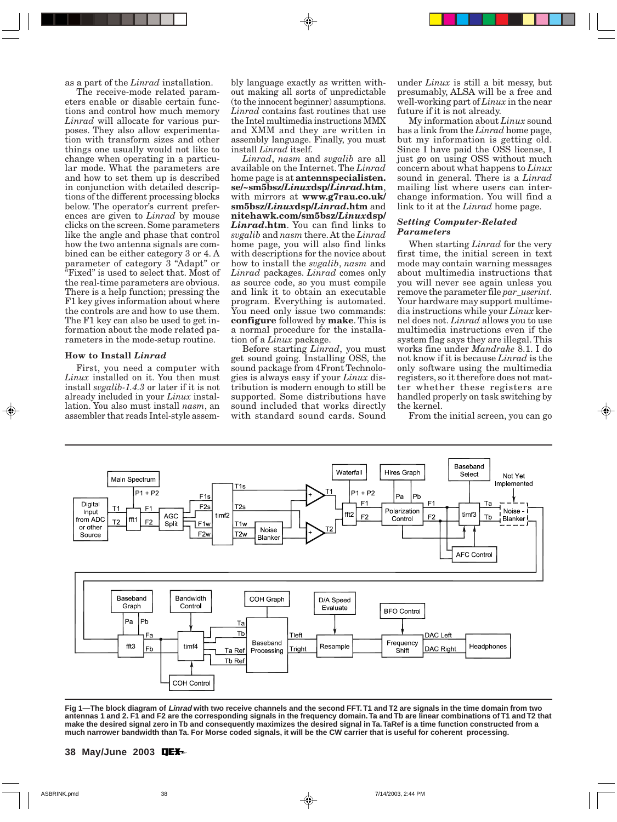as a part of the *Linrad* installation.

The receive-mode related parameters enable or disable certain functions and control how much memory *Linrad* will allocate for various purposes. They also allow experimentation with transform sizes and other things one usually would not like to change when operating in a particular mode. What the parameters are and how to set them up is described in conjunction with detailed descriptions of the different processing blocks below. The operator's current preferences are given to *Linrad* by mouse clicks on the screen. Some parameters like the angle and phase that control how the two antenna signals are combined can be either category 3 or 4. A parameter of category 3 "Adapt" or "Fixed" is used to select that. Most of the real-time parameters are obvious. There is a help function; pressing the F1 key gives information about where the controls are and how to use them. The F1 key can also be used to get information about the mode related parameters in the mode-setup routine.

#### **How to Install** *Linrad*

First, you need a computer with *Linux* installed on it. You then must install *svgalib-1.4.3* or later if it is not already included in your *Linux* installation. You also must install *nasm*, an assembler that reads Intel-style assembly language exactly as written without making all sorts of unpredictable (to the innocent beginner) assumptions. *Linrad* contains fast routines that use the Intel multimedia instructions MMX and XMM and they are written in assembly language. Finally, you must install *Linrad* itself.

*Linrad*, *nasm* and *svgalib* are all available on the Internet. The *Linrad* home page is at **antennspecialisten. se/~sm5bsz/***Linux***dsp/***Linrad***.htm**, with mirrors at **www.g7rau.co.uk/ sm5bsz/***Linux***dsp/***Linrad***.htm** and **nitehawk.com/sm5bsz/***Linux***dsp/** *Linrad***.htm**. You can find links to *svgalib* and *nasm* there. At the *Linrad* home page, you will also find links with descriptions for the novice about how to install the *svgalib*, *nasm* and *Linrad* packages. *Linrad* comes only as source code, so you must compile and link it to obtain an executable program. Everything is automated. You need only issue two commands: **configure** followed by **make**. This is a normal procedure for the installation of a *Linux* package.

Before starting *Linrad*, you must get sound going. Installing OSS, the sound package from 4Front Technologies is always easy if your *Linux* distribution is modern enough to still be supported. Some distributions have sound included that works directly with standard sound cards. Sound

under *Linux* is still a bit messy, but presumably, ALSA will be a free and well-working part of *Linux* in the near future if it is not already.

My information about *Linux* sound has a link from the *Linrad* home page, but my information is getting old. Since I have paid the OSS license, I just go on using OSS without much concern about what happens to *Linux* sound in general. There is a *Linrad* mailing list where users can interchange information. You will find a link to it at the *Linrad* home page.

# *Setting Computer-Related Parameters*

When starting *Linrad* for the very first time, the initial screen in text mode may contain warning messages about multimedia instructions that you will never see again unless you remove the parameter file *par\_userint*. Your hardware may support multimedia instructions while your *Linux* kernel does not. *Linrad* allows you to use multimedia instructions even if the system flag says they are illegal. This works fine under *Mandrake* 8.1. I do not know if it is because *Linrad* is the only software using the multimedia registers, so it therefore does not matter whether these registers are handled properly on task switching by the kernel.

From the initial screen, you can go



**Fig 1—The block diagram of Linrad with two receive channels and the second FFT. T1 and T2 are signals in the time domain from two antennas 1 and 2. F1 and F2 are the corresponding signals in the frequency domain. Ta and Tb are linear combinations of T1 and T2 that make the desired signal zero in Tb and consequently maximizes the desired signal in Ta. TaRef is a time function constructed from a much narrower bandwidth than Ta. For Morse coded signals, it will be the CW carrier that is useful for coherent processing.**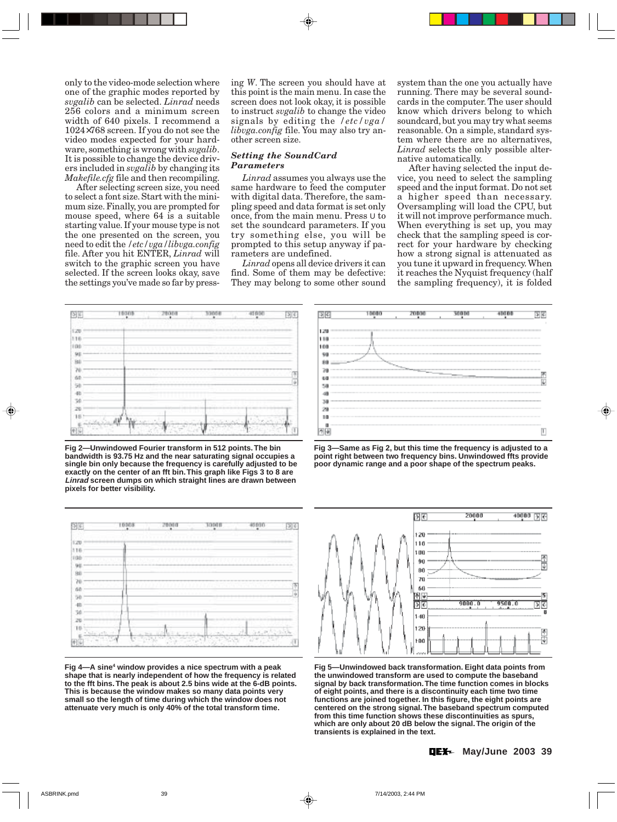only to the video-mode selection where one of the graphic modes reported by *svgalib* can be selected. *Linrad* needs 256 colors and a minimum screen width of 640 pixels. I recommend a 1024×768 screen. If you do not see the video modes expected for your hardware, something is wrong with *svgalib*. It is possible to change the device drivers included in *svgalib* by changing its *Makefile.cfg* file and then recompiling.

After selecting screen size, you need to select a font size. Start with the minimum size. Finally, you are prompted for mouse speed, where 64 is a suitable starting value. If your mouse type is not the one presented on the screen, you need to edit the */etc/vga/libvga.config* file. After you hit ENTER, *Linrad* will switch to the graphic screen you have selected. If the screen looks okay, save the settings you've made so far by pressing *W*. The screen you should have at this point is the main menu. In case the screen does not look okay, it is possible to instruct *svgalib* to change the video signals by editing the */etc/vga/ libvga.config* file. You may also try another screen size.

## *Setting the SoundCard Parameters*

*Linrad* assumes you always use the same hardware to feed the computer with digital data. Therefore, the sampling speed and data format is set only once, from the main menu. Press U to set the soundcard parameters. If you try something else, you will be prompted to this setup anyway if parameters are undefined.

*Linrad* opens all device drivers it can find. Some of them may be defective: They may belong to some other sound system than the one you actually have running. There may be several soundcards in the computer. The user should know which drivers belong to which soundcard, but you may try what seems reasonable. On a simple, standard system where there are no alternatives, *Linrad* selects the only possible alternative automatically.

After having selected the input device, you need to select the sampling speed and the input format. Do not set a higher speed than necessary. Oversampling will load the CPU, but it will not improve performance much. When everything is set up, you may check that the sampling speed is correct for your hardware by checking how a strong signal is attenuated as you tune it upward in frequency. When it reaches the Nyquist frequency (half the sampling frequency), it is folded



**Fig 2—Unwindowed Fourier transform in 512 points. The bin bandwidth is 93.75 Hz and the near saturating signal occupies a single bin only because the frequency is carefully adjusted to be exactly on the center of an fft bin. This graph like Figs 3 to 8 are Linrad screen dumps on which straight lines are drawn between pixels for better visibility.**



**Fig 4—A sine4 window provides a nice spectrum with a peak shape that is nearly independent of how the frequency is related to the fft bins. The peak is about 2.5 bins wide at the 6-dB points. This is because the window makes so many data points very small so the length of time during which the window does not attenuate very much is only 40% of the total transform time.**



**Fig 3—Same as Fig 2, but this time the frequency is adjusted to a point right between two frequency bins. Unwindowed ffts provide poor dynamic range and a poor shape of the spectrum peaks.**



**Fig 5—Unwindowed back transformation. Eight data points from the unwindowed transform are used to compute the baseband signal by back transformation. The time function comes in blocks of eight points, and there is a discontinuity each time two time functions are joined together. In this figure, the eight points are centered on the strong signal. The baseband spectrum computed from this time function shows these discontinuities as spurs, which are only about 20 dB below the signal. The origin of the transients is explained in the text.**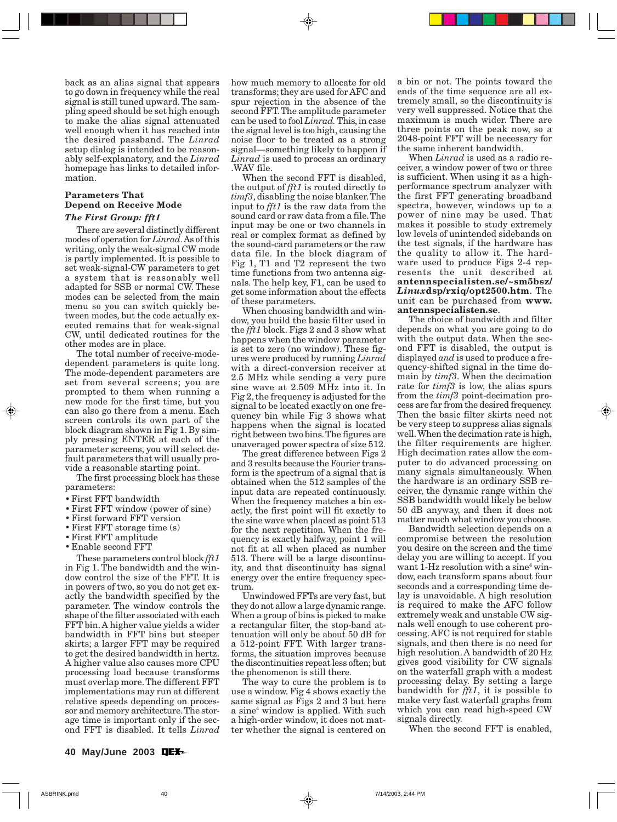back as an alias signal that appears to go down in frequency while the real signal is still tuned upward. The sampling speed should be set high enough to make the alias signal attenuated well enough when it has reached into the desired passband. The *Linrad* setup dialog is intended to be reasonably self-explanatory, and the *Linrad* homepage has links to detailed information.

# **Parameters That Depend on Receive Mode**

# *The First Group: fft1*

There are several distinctly different modes of operation for *Linrad*. As of this writing, only the weak-signal CW mode is partly implemented. It is possible to set weak-signal-CW parameters to get a system that is reasonably well adapted for SSB or normal CW. These modes can be selected from the main menu so you can switch quickly between modes, but the code actually executed remains that for weak-signal CW, until dedicated routines for the other modes are in place.

The total number of receive-modedependent parameters is quite long. The mode-dependent parameters are set from several screens; you are prompted to them when running a new mode for the first time, but you can also go there from a menu. Each screen controls its own part of the block diagram shown in Fig 1. By simply pressing ENTER at each of the parameter screens, you will select default parameters that will usually provide a reasonable starting point.

The first processing block has these parameters:

- First FFT bandwidth
- First FFT window (power of sine)
- First forward FFT version
- First FFT storage time (s)
- First FFT amplitude
- Enable second FFT

These parameters control block *fft1* in Fig 1. The bandwidth and the window control the size of the FFT. It is in powers of two, so you do not get exactly the bandwidth specified by the parameter. The window controls the shape of the filter associated with each FFT bin. A higher value yields a wider bandwidth in FFT bins but steeper skirts; a larger FFT may be required to get the desired bandwidth in hertz. A higher value also causes more CPU processing load because transforms must overlap more. The different FFT implementations may run at different relative speeds depending on processor and memory architecture. The storage time is important only if the second FFT is disabled. It tells *Linrad*

how much memory to allocate for old transforms; they are used for AFC and spur rejection in the absence of the second FFT. The amplitude parameter can be used to fool *Linrad.* This, in case the signal level is too high, causing the noise floor to be treated as a strong signal—something likely to happen if *Linrad* is used to process an ordinary .WAV file.

When the second FFT is disabled, the output of *fft1* is routed directly to *timf3*, disabling the noise blanker. The input to *fft1* is the raw data from the sound card or raw data from a file. The input may be one or two channels in real or complex format as defined by the sound-card parameters or the raw data file. In the block diagram of Fig 1, T1 and T2 represent the two time functions from two antenna signals. The help key, F1, can be used to get some information about the effects of these parameters.

When choosing bandwidth and window, you build the basic filter used in the *fft1* block. Figs 2 and 3 show what happens when the window parameter is set to zero (no window). These figures were produced by running *Linrad* with a direct-conversion receiver at 2.5 MHz while sending a very pure sine wave at 2.509 MHz into it. In Fig 2, the frequency is adjusted for the signal to be located exactly on one frequency bin while Fig 3 shows what happens when the signal is located right between two bins. The figures are unaveraged power spectra of size 512.

The great difference between Figs 2 and 3 results because the Fourier transform is the spectrum of a signal that is obtained when the 512 samples of the input data are repeated continuously. When the frequency matches a bin exactly, the first point will fit exactly to the sine wave when placed as point 513 for the next repetition. When the frequency is exactly halfway, point 1 will not fit at all when placed as number 513. There will be a large discontinuity, and that discontinuity has signal energy over the entire frequency spectrum.

Unwindowed FFTs are very fast, but they do not allow a large dynamic range. When a group of bins is picked to make a rectangular filter, the stop-band attenuation will only be about 50 dB for a 512-point FFT. With larger transforms, the situation improves because the discontinuities repeat less often; but the phenomenon is still there.

The way to cure the problem is to use a window. Fig 4 shows exactly the same signal as Figs 2 and 3 but here a sine<sup>4</sup> window is applied. With such a high-order window, it does not matter whether the signal is centered on

a bin or not. The points toward the ends of the time sequence are all extremely small, so the discontinuity is very well suppressed. Notice that the maximum is much wider. There are three points on the peak now, so a 2048-point FFT will be necessary for the same inherent bandwidth.

When *Linrad* is used as a radio receiver, a window power of two or three is sufficient. When using it as a highperformance spectrum analyzer with the first FFT generating broadband spectra, however, windows up to a power of nine may be used. That makes it possible to study extremely low levels of unintended sidebands on the test signals, if the hardware has the quality to allow it. The hardware used to produce Figs 2-4 represents the unit described at **antennspecialisten.se/~sm5bsz/** *Linux***dsp/rxiq/opt2500.htm**. The unit can be purchased from **www. antennspecialisten.se**.

The choice of bandwidth and filter depends on what you are going to do with the output data. When the second FFT is disabled, the output is displayed *and* is used to produce a frequency-shifted signal in the time domain by *timf3*. When the decimation rate for *timf3* is low, the alias spurs from the *timf3* point-decimation process are far from the desired frequency. Then the basic filter skirts need not be very steep to suppress alias signals well. When the decimation rate is high, the filter requirements are higher. High decimation rates allow the computer to do advanced processing on many signals simultaneously. When the hardware is an ordinary SSB receiver, the dynamic range within the SSB bandwidth would likely be below 50 dB anyway, and then it does not matter much what window you choose.

Bandwidth selection depends on a compromise between the resolution you desire on the screen and the time delay you are willing to accept. If you want 1-Hz resolution with a sine<sup>4</sup> window, each transform spans about four seconds and a corresponding time delay is unavoidable. A high resolution is required to make the AFC follow extremely weak and unstable CW signals well enough to use coherent processing. AFC is not required for stable signals, and then there is no need for high resolution. A bandwidth of 20 Hz gives good visibility for CW signals on the waterfall graph with a modest processing delay. By setting a large bandwidth for *fft1*, it is possible to make very fast waterfall graphs from which you can read high-speed CW signals directly.

When the second FFT is enabled,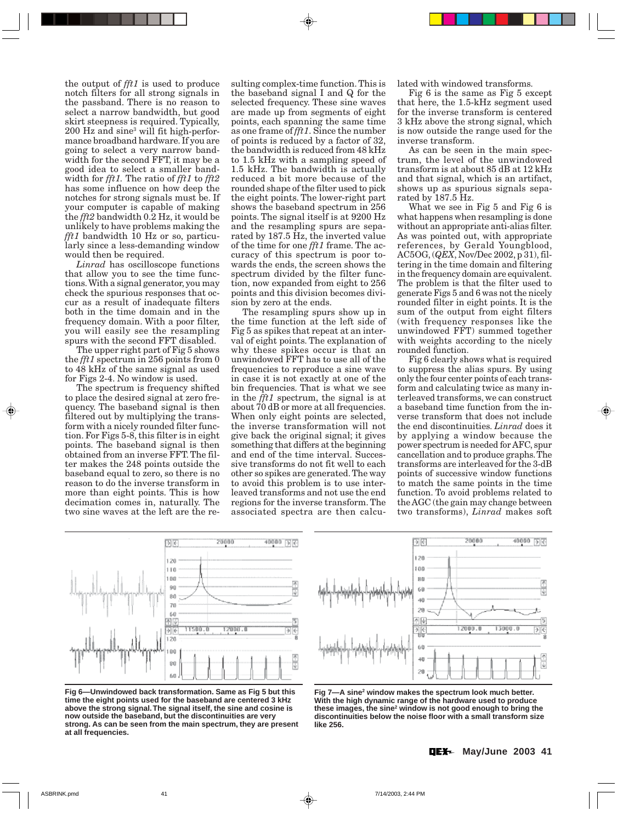the output of *fft1* is used to produce notch filters for all strong signals in the passband. There is no reason to select a narrow bandwidth, but good skirt steepness is required. Typically, 200 Hz and sine3 will fit high-performance broadband hardware. If you are going to select a very narrow bandwidth for the second FFT, it may be a good idea to select a smaller bandwidth for *fft1.* The ratio of *fft1* to *fft2* has some influence on how deep the notches for strong signals must be. If your computer is capable of making the *fft2* bandwidth 0.2 Hz, it would be unlikely to have problems making the *fft1* bandwidth 10 Hz or so, particularly since a less-demanding window would then be required.

*Linrad* has oscilloscope functions that allow you to see the time functions. With a signal generator, you may check the spurious responses that occur as a result of inadequate filters both in the time domain and in the frequency domain. With a poor filter, you will easily see the resampling spurs with the second FFT disabled.

The upper right part of Fig 5 shows the *fft1* spectrum in 256 points from 0 to 48 kHz of the same signal as used for Figs 2-4. No window is used.

The spectrum is frequency shifted to place the desired signal at zero frequency. The baseband signal is then filtered out by multiplying the transform with a nicely rounded filter function. For Figs 5-8, this filter is in eight points. The baseband signal is then obtained from an inverse FFT. The filter makes the 248 points outside the baseband equal to zero, so there is no reason to do the inverse transform in more than eight points. This is how decimation comes in, naturally. The two sine waves at the left are the re-

sulting complex-time function. This is the baseband signal I and Q for the selected frequency. These sine waves are made up from segments of eight points, each spanning the same time as one frame of *fft1*. Since the number of points is reduced by a factor of 32, the bandwidth is reduced from 48 kHz to 1.5 kHz with a sampling speed of 1.5 kHz. The bandwidth is actually reduced a bit more because of the rounded shape of the filter used to pick the eight points. The lower-right part shows the baseband spectrum in 256 points. The signal itself is at 9200 Hz and the resampling spurs are separated by 187.5 Hz, the inverted value of the time for one *fft1* frame. The accuracy of this spectrum is poor towards the ends, the screen shows the spectrum divided by the filter function, now expanded from eight to 256 points and this division becomes division by zero at the ends.

The resampling spurs show up in the time function at the left side of Fig 5 as spikes that repeat at an interval of eight points. The explanation of why these spikes occur is that an unwindowed FFT has to use all of the frequencies to reproduce a sine wave in case it is not exactly at one of the bin frequencies. That is what we see in the *fft1* spectrum, the signal is at about 70 dB or more at all frequencies. When only eight points are selected, the inverse transformation will not give back the original signal; it gives something that differs at the beginning and end of the time interval. Successive transforms do not fit well to each other so spikes are generated. The way to avoid this problem is to use interleaved transforms and not use the end regions for the inverse transform. The associated spectra are then calculated with windowed transforms.

Fig 6 is the same as Fig 5 except that here, the 1.5-kHz segment used for the inverse transform is centered 3 kHz above the strong signal, which is now outside the range used for the inverse transform.

As can be seen in the main spectrum, the level of the unwindowed transform is at about 85 dB at 12 kHz and that signal, which is an artifact, shows up as spurious signals separated by 187.5 Hz.

What we see in Fig 5 and Fig 6 is what happens when resampling is done without an appropriate anti-alias filter. As was pointed out, with appropriate references, by Gerald Youngblood, AC5OG, (*QEX*, Nov/Dec 2002, p 31), filtering in the time domain and filtering in the frequency domain are equivalent. The problem is that the filter used to generate Figs 5 and 6 was not the nicely rounded filter in eight points. It is the sum of the output from eight filters (with frequency responses like the unwindowed FFT) summed together with weights according to the nicely rounded function.

Fig 6 clearly shows what is required to suppress the alias spurs. By using only the four center points of each transform and calculating twice as many interleaved transforms, we can construct a baseband time function from the inverse transform that does not include the end discontinuities. *Linrad* does it by applying a window because the power spectrum is needed for AFC, spur cancellation and to produce graphs. The transforms are interleaved for the 3-dB points of successive window functions to match the same points in the time function. To avoid problems related to the AGC (the gain may change between two transforms), *Linrad* makes soft



**Fig 6—Unwindowed back transformation. Same as Fig 5 but this time the eight points used for the baseband are centered 3 kHz above the strong signal. The signal itself, the sine and cosine is now outside the baseband, but the discontinuities are very strong. As can be seen from the main spectrum, they are present at all frequencies.**



Fig 7-A sine<sup>2</sup> window makes the spectrum look much better. **With the high dynamic range of the hardware used to produce** these images, the sine<sup>2</sup> window is not good enough to bring the **discontinuities below the noise floor with a small transform size like 256.**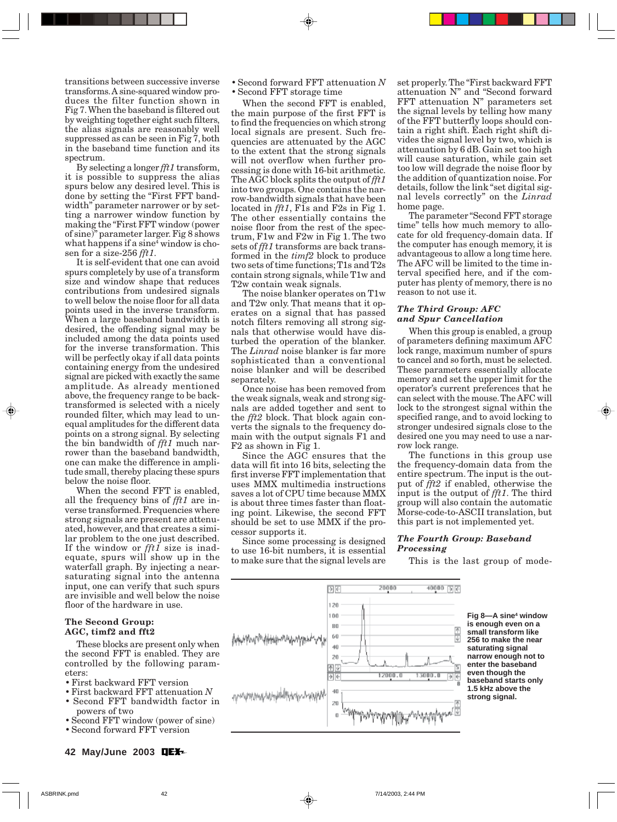transitions between successive inverse transforms. A sine-squared window produces the filter function shown in Fig 7. When the baseband is filtered out by weighting together eight such filters, the alias signals are reasonably well suppressed as can be seen in Fig 7, both in the baseband time function and its spectrum.

By selecting a longer *fft1* transform, it is possible to suppress the alias spurs below any desired level. This is done by setting the "First FFT bandwidth" parameter narrower or by setting a narrower window function by making the "First FFT window (power of sine)" parameter larger. Fig 8 shows what happens if a  $\mathrm{sine^4}$  window is chosen for a size-256 *fft1*.

It is self-evident that one can avoid spurs completely by use of a transform size and window shape that reduces contributions from undesired signals to well below the noise floor for all data points used in the inverse transform. When a large baseband bandwidth is desired, the offending signal may be included among the data points used for the inverse transformation. This will be perfectly okay if all data points containing energy from the undesired signal are picked with exactly the same amplitude. As already mentioned above, the frequency range to be backtransformed is selected with a nicely rounded filter, which may lead to unequal amplitudes for the different data points on a strong signal. By selecting the bin bandwidth of *fft1* much narrower than the baseband bandwidth, one can make the difference in amplitude small, thereby placing these spurs below the noise floor.

When the second FFT is enabled, all the frequency bins of *fft1* are inverse transformed. Frequencies where strong signals are present are attenuated, however, and that creates a similar problem to the one just described. If the window or *fft1* size is inadequate, spurs will show up in the waterfall graph. By injecting a nearsaturating signal into the antenna input, one can verify that such spurs are invisible and well below the noise floor of the hardware in use.

# **The Second Group: AGC, timf2 and fft2**

These blocks are present only when the second FFT is enabled. They are controlled by the following parameters:

- First backward FFT version
- First backward FFT attenuation *N*
- Second FFT bandwidth factor in powers of two
- Second FFT window (power of sine)
- Second forward FFT version

• Second forward FFT attenuation *N* • Second FFT storage time

When the second FFT is enabled, the main purpose of the first FFT is to find the frequencies on which strong local signals are present. Such frequencies are attenuated by the AGC to the extent that the strong signals will not overflow when further processing is done with 16-bit arithmetic. The AGC block splits the output of *fft1* into two groups. One contains the narrow-bandwidth signals that have been located in *fft1*, F1s and F2s in Fig 1. The other essentially contains the noise floor from the rest of the spectrum, F1w and F2w in Fig 1. The two sets of *fft1* transforms are back transformed in the *timf2* block to produce two sets of time functions; T1s and T2s contain strong signals, while T1w and T2w contain weak signals.

The noise blanker operates on T1w and T2w only. That means that it operates on a signal that has passed notch filters removing all strong signals that otherwise would have disturbed the operation of the blanker. The *Linrad* noise blanker is far more sophisticated than a conventional noise blanker and will be described separately.

Once noise has been removed from the weak signals, weak and strong signals are added together and sent to the *fft2* block. That block again converts the signals to the frequency domain with the output signals F1 and F2 as shown in Fig 1.

Since the AGC ensures that the data will fit into 16 bits, selecting the first inverse FFT implementation that uses MMX multimedia instructions saves a lot of CPU time because MMX is about three times faster than floating point. Likewise, the second FFT should be set to use MMX if the processor supports it.

Since some processing is designed to use 16-bit numbers, it is essential to make sure that the signal levels are

set properly. The "First backward FFT attenuation N" and "Second forward FFT attenuation N" parameters set the signal levels by telling how many of the FFT butterfly loops should contain a right shift. Each right shift divides the signal level by two, which is attenuation by 6 dB. Gain set too high will cause saturation, while gain set too low will degrade the noise floor by the addition of quantization noise. For details, follow the link "set digital signal levels correctly" on the *Linrad* home page.

The parameter "Second FFT storage time" tells how much memory to allocate for old frequency-domain data. If the computer has enough memory, it is advantageous to allow a long time here. The AFC will be limited to the time interval specified here, and if the computer has plenty of memory, there is no reason to not use it.

# *The Third Group: AFC and Spur Cancellation*

When this group is enabled, a group of parameters defining maximum AFC lock range, maximum number of spurs to cancel and so forth, must be selected. These parameters essentially allocate memory and set the upper limit for the operator's current preferences that he can select with the mouse. The AFC will lock to the strongest signal within the specified range, and to avoid locking to stronger undesired signals close to the desired one you may need to use a narrow lock range.

The functions in this group use the frequency-domain data from the entire spectrum. The input is the output of *fft2* if enabled, otherwise the input is the output of *fft1*. The third group will also contain the automatic Morse-code-to-ASCII translation, but this part is not implemented yet.

# *The Fourth Group: Baseband Processing*

This is the last group of mode-



**Fig 8—A sine4 window is enough even on a small transform like 256 to make the near saturating signal narrow enough not to enter the baseband even though the baseband starts only 1.5 kHz above the strong signal.**